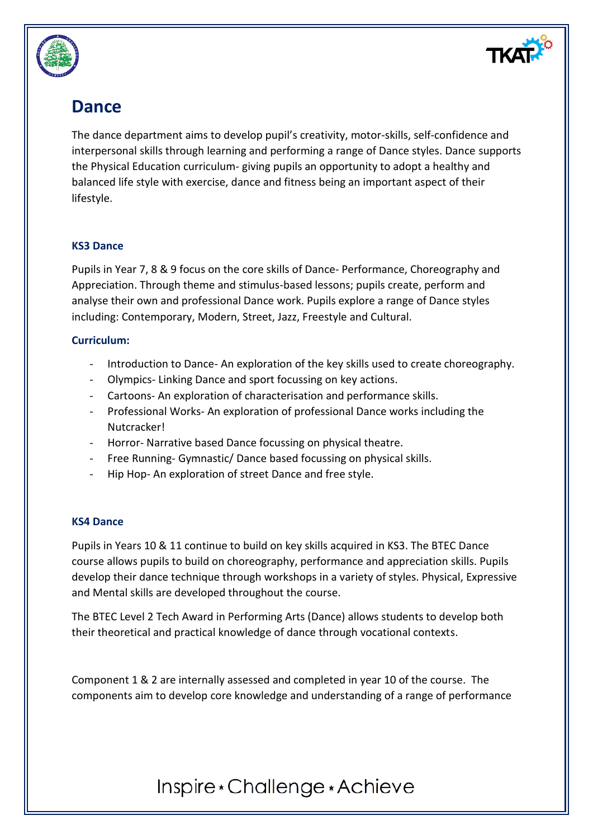

### **Dance**

The dance department aims to develop pupil's creativity, motor-skills, self-confidence and interpersonal skills through learning and performing a range of Dance styles. Dance supports the Physical Education curriculum- giving pupils an opportunity to adopt a healthy and balanced life style with exercise, dance and fitness being an important aspect of their lifestyle.

### **KS3 Dance**

Pupils in Year 7, 8 & 9 focus on the core skills of Dance- Performance, Choreography and Appreciation. Through theme and stimulus-based lessons; pupils create, perform and analyse their own and professional Dance work. Pupils explore a range of Dance styles including: Contemporary, Modern, Street, Jazz, Freestyle and Cultural.

#### **Curriculum:**

- Introduction to Dance- An exploration of the key skills used to create choreography.
- Olympics- Linking Dance and sport focussing on key actions.
- Cartoons- An exploration of characterisation and performance skills.
- Professional Works- An exploration of professional Dance works including the Nutcracker!
- Horror- Narrative based Dance focussing on physical theatre.
- Free Running- Gymnastic/ Dance based focussing on physical skills.
- Hip Hop- An exploration of street Dance and free style.

#### **KS4 Dance**

Pupils in Years 10 & 11 continue to build on key skills acquired in KS3. The BTEC Dance course allows pupils to build on choreography, performance and appreciation skills. Pupils develop their dance technique through workshops in a variety of styles. Physical, Expressive and Mental skills are developed throughout the course.

The BTEC Level 2 Tech Award in Performing Arts (Dance) allows students to develop both their theoretical and practical knowledge of dance through vocational contexts.

Component 1 & 2 are internally assessed and completed in year 10 of the course. The components aim to develop core knowledge and understanding of a range of performance

# Inspire \* Challenge \* Achieve